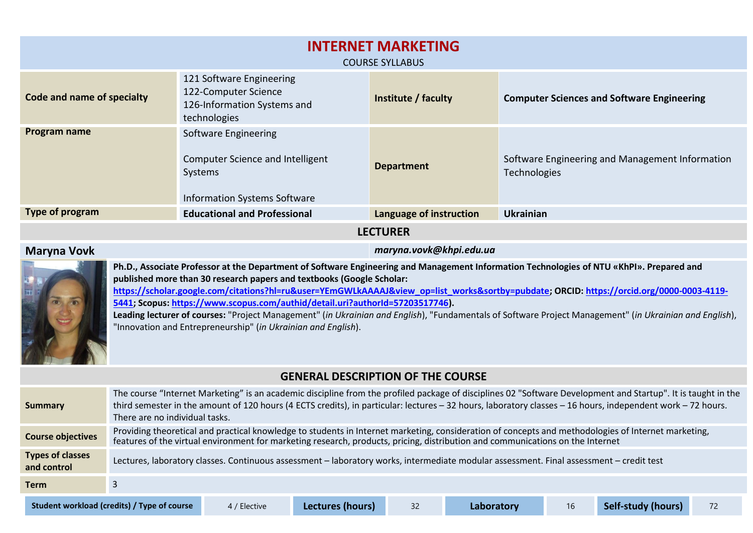| <b>INTERNET MARKETING</b><br><b>COURSE SYLLABUS</b> |                                                                                                            |                         |                                                                 |  |  |  |  |  |  |
|-----------------------------------------------------|------------------------------------------------------------------------------------------------------------|-------------------------|-----------------------------------------------------------------|--|--|--|--|--|--|
| Code and name of specialty                          | 121 Software Engineering<br>122-Computer Science<br>126-Information Systems and<br>technologies            | Institute / faculty     | <b>Computer Sciences and Software Engineering</b>               |  |  |  |  |  |  |
| Program name                                        | Software Engineering<br>Computer Science and Intelligent<br>Systems<br><b>Information Systems Software</b> | <b>Department</b>       | Software Engineering and Management Information<br>Technologies |  |  |  |  |  |  |
| Type of program                                     | <b>Educational and Professional</b>                                                                        | Language of instruction | <b>Ukrainian</b>                                                |  |  |  |  |  |  |
| <b>LECTURER</b>                                     |                                                                                                            |                         |                                                                 |  |  |  |  |  |  |

## **Maryna Vovk** *maryna.vovk@khpi.edu.ua*



**Ph.D., Associate Professor at the Department of Software Engineering and Management Information Technologies of NTU «KhPI». Prepared and published more than 30 research papers and textbooks (Google Scholar: https://scholar.google.com/citations?hl=ru&user=YEmGWLkAAAAJ&view\_op=list\_works&sortby=pubdate; ORCID: [https://orcid.org/0000-0003-4119-](https://orcid.org/0000-0003-4119-5441) [5441;](https://orcid.org/0000-0003-4119-5441) Scopus: [https://www.scopus.com/authid/detail.uri?authorId=57203517746\)](https://www.scopus.com/authid/detail.uri?authorId=57203517746). Leading lecturer of courses:** "Project Management" (*in Ukrainian and English*), "Fundamentals of Software Project Management" (*in Ukrainian and English*),

"Innovation and Entrepreneurship" (*in Ukrainian and English*).

## **GENERAL DESCRIPTION OF THE COURSE**

| Summary                                | The course "Internet Marketing" is an academic discipline from the profiled package of disciplines 02 "Software Development and Startup". It is taught in the<br>third semester in the amount of 120 hours (4 ECTS credits), in particular: lectures - 32 hours, laboratory classes - 16 hours, independent work - 72 hours.<br>There are no individual tasks. |                                                                                                                                                                                                                                                                                       |                  |    |            |    |                    |    |  |  |
|----------------------------------------|----------------------------------------------------------------------------------------------------------------------------------------------------------------------------------------------------------------------------------------------------------------------------------------------------------------------------------------------------------------|---------------------------------------------------------------------------------------------------------------------------------------------------------------------------------------------------------------------------------------------------------------------------------------|------------------|----|------------|----|--------------------|----|--|--|
| <b>Course objectives</b>               |                                                                                                                                                                                                                                                                                                                                                                | Providing theoretical and practical knowledge to students in Internet marketing, consideration of concepts and methodologies of Internet marketing,<br>features of the virtual environment for marketing research, products, pricing, distribution and communications on the Internet |                  |    |            |    |                    |    |  |  |
| <b>Types of classes</b><br>and control |                                                                                                                                                                                                                                                                                                                                                                | Lectures, laboratory classes. Continuous assessment - laboratory works, intermediate modular assessment. Final assessment - credit test                                                                                                                                               |                  |    |            |    |                    |    |  |  |
| <b>Term</b>                            |                                                                                                                                                                                                                                                                                                                                                                |                                                                                                                                                                                                                                                                                       |                  |    |            |    |                    |    |  |  |
|                                        | Student workload (credits) / Type of course                                                                                                                                                                                                                                                                                                                    | 4 / Elective                                                                                                                                                                                                                                                                          | Lectures (hours) | 32 | Laboratory | 16 | Self-study (hours) | 72 |  |  |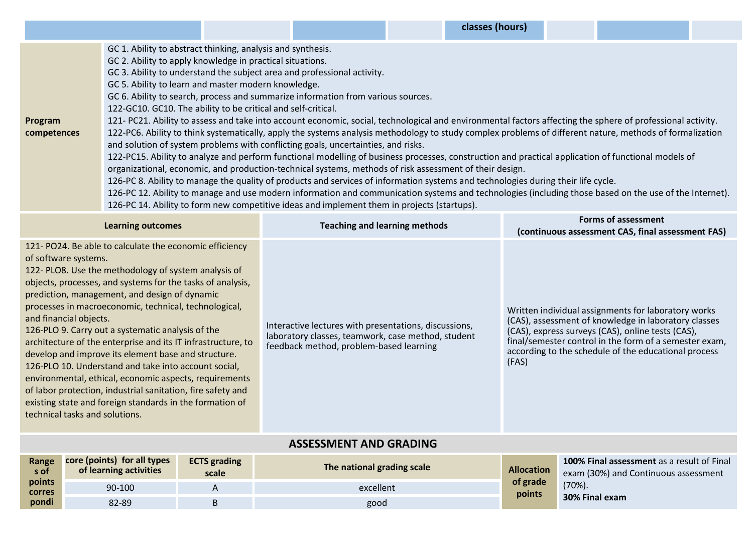| classes (hours) |  |
|-----------------|--|
|-----------------|--|

|             | GC 1. Ability to abstract thinking, analysis and synthesis.                                                                                                 |  |  |  |  |  |  |  |
|-------------|-------------------------------------------------------------------------------------------------------------------------------------------------------------|--|--|--|--|--|--|--|
|             | GC 2. Ability to apply knowledge in practical situations.                                                                                                   |  |  |  |  |  |  |  |
|             | GC 3. Ability to understand the subject area and professional activity.                                                                                     |  |  |  |  |  |  |  |
|             | GC 5. Ability to learn and master modern knowledge.                                                                                                         |  |  |  |  |  |  |  |
|             | GC 6. Ability to search, process and summarize information from various sources.                                                                            |  |  |  |  |  |  |  |
|             | 122-GC10. GC10. The ability to be critical and self-critical.                                                                                               |  |  |  |  |  |  |  |
| Program     | 121- PC21. Ability to assess and take into account economic, social, technological and environmental factors affecting the sphere of professional activity. |  |  |  |  |  |  |  |
| competences | 122-PC6. Ability to think systematically, apply the systems analysis methodology to study complex problems of different nature, methods of formalization    |  |  |  |  |  |  |  |
|             | and solution of system problems with conflicting goals, uncertainties, and risks.                                                                           |  |  |  |  |  |  |  |
|             | 122-PC15. Ability to analyze and perform functional modelling of business processes, construction and practical application of functional models of         |  |  |  |  |  |  |  |
|             | organizational, economic, and production-technical systems, methods of risk assessment of their design.                                                     |  |  |  |  |  |  |  |
|             | 126-PC 8. Ability to manage the quality of products and services of information systems and technologies during their life cycle.                           |  |  |  |  |  |  |  |
|             | 126-PC 12. Ability to manage and use modern information and communication systems and technologies (including those based on the use of the Internet).      |  |  |  |  |  |  |  |
|             | 126-PC 14. Ability to form new competitive ideas and implement them in projects (startups).                                                                 |  |  |  |  |  |  |  |
|             |                                                                                                                                                             |  |  |  |  |  |  |  |

| <b>Learning outcomes</b>                                                                                                                                                                                                                                                                                                                                                                                                                                                                                                                                                                                                                                                                                                                                                                            | <b>Teaching and learning methods</b>                                                                                                                   | <b>Forms of assessment</b><br>(continuous assessment CAS, final assessment FAS)                                                                                                                                                                                                             |  |  |  |  |  |  |
|-----------------------------------------------------------------------------------------------------------------------------------------------------------------------------------------------------------------------------------------------------------------------------------------------------------------------------------------------------------------------------------------------------------------------------------------------------------------------------------------------------------------------------------------------------------------------------------------------------------------------------------------------------------------------------------------------------------------------------------------------------------------------------------------------------|--------------------------------------------------------------------------------------------------------------------------------------------------------|---------------------------------------------------------------------------------------------------------------------------------------------------------------------------------------------------------------------------------------------------------------------------------------------|--|--|--|--|--|--|
| 121-PO24. Be able to calculate the economic efficiency<br>of software systems.<br>122- PLO8. Use the methodology of system analysis of<br>objects, processes, and systems for the tasks of analysis,<br>prediction, management, and design of dynamic<br>processes in macroeconomic, technical, technological,<br>and financial objects.<br>126-PLO 9. Carry out a systematic analysis of the<br>architecture of the enterprise and its IT infrastructure, to<br>develop and improve its element base and structure.<br>126-PLO 10. Understand and take into account social,<br>environmental, ethical, economic aspects, requirements<br>of labor protection, industrial sanitation, fire safety and<br>existing state and foreign standards in the formation of<br>technical tasks and solutions. | Interactive lectures with presentations, discussions,<br>laboratory classes, teamwork, case method, student<br>feedback method, problem-based learning | Written individual assignments for laboratory works<br>(CAS), assessment of knowledge in laboratory classes<br>(CAS), express surveys (CAS), online tests (CAS),<br>final/semester control in the form of a semester exam,<br>according to the schedule of the educational process<br>(FAS) |  |  |  |  |  |  |
| <b>ASSESSMENT AND GRADING</b>                                                                                                                                                                                                                                                                                                                                                                                                                                                                                                                                                                                                                                                                                                                                                                       |                                                                                                                                                        |                                                                                                                                                                                                                                                                                             |  |  |  |  |  |  |
| core (points) for all types<br><b>FCTS</b> grading<br>Range                                                                                                                                                                                                                                                                                                                                                                                                                                                                                                                                                                                                                                                                                                                                         |                                                                                                                                                        | 100% Final assessment as a result of Final                                                                                                                                                                                                                                                  |  |  |  |  |  |  |

| Range<br>s of           | core (points) for all types<br>of learning activities | <b>ECTS</b> grading<br>scale | The national grading scale | <b>Allocation</b>  | <b>100% Final assessment</b> as a result of Final<br>exam (30%) and Continuous assessment |
|-------------------------|-------------------------------------------------------|------------------------------|----------------------------|--------------------|-------------------------------------------------------------------------------------------|
| points<br><b>corres</b> | 90-100                                                |                              | excellent                  | of grade<br>points | $(70\%)$ .                                                                                |
| pondi                   | 82-89                                                 |                              | good                       |                    | 30% Final exam                                                                            |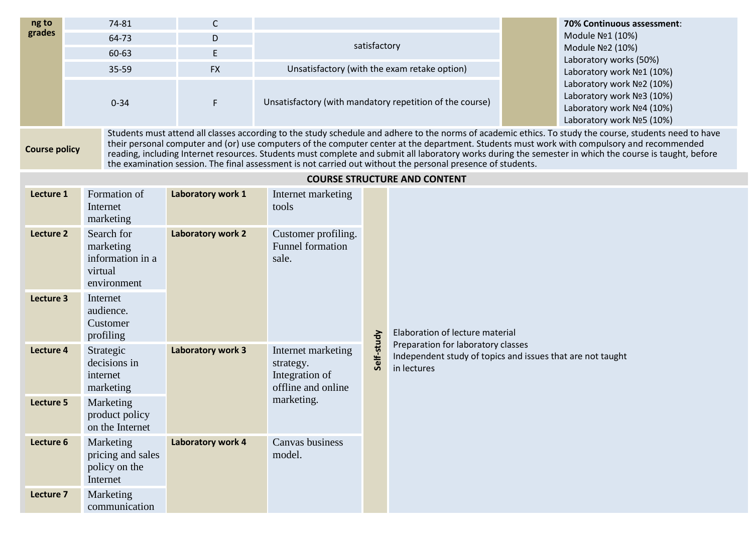| ng to                | 74-81                                                                 | C                 |                                                                                                                                                                                                                                                                                                                                                                                                                                                                                                                                                                                  |                                              |                                                                                                                 |  | 70% Continuous assessment:                                                                                       |  |  |
|----------------------|-----------------------------------------------------------------------|-------------------|----------------------------------------------------------------------------------------------------------------------------------------------------------------------------------------------------------------------------------------------------------------------------------------------------------------------------------------------------------------------------------------------------------------------------------------------------------------------------------------------------------------------------------------------------------------------------------|----------------------------------------------|-----------------------------------------------------------------------------------------------------------------|--|------------------------------------------------------------------------------------------------------------------|--|--|
| grades               | 64-73                                                                 | D                 | satisfactory                                                                                                                                                                                                                                                                                                                                                                                                                                                                                                                                                                     |                                              |                                                                                                                 |  | Module Nº1 (10%)                                                                                                 |  |  |
|                      | 60-63                                                                 | E                 |                                                                                                                                                                                                                                                                                                                                                                                                                                                                                                                                                                                  |                                              |                                                                                                                 |  | Module Nº2 (10%)                                                                                                 |  |  |
|                      | 35-59                                                                 | <b>FX</b>         |                                                                                                                                                                                                                                                                                                                                                                                                                                                                                                                                                                                  | Unsatisfactory (with the exam retake option) |                                                                                                                 |  | Laboratory works (50%)<br>Laboratory work Nº1 (10%)                                                              |  |  |
|                      | $0 - 34$                                                              | F                 |                                                                                                                                                                                                                                                                                                                                                                                                                                                                                                                                                                                  |                                              | Unsatisfactory (with mandatory repetition of the course)                                                        |  | Laboratory work Nº2 (10%)<br>Laboratory work Nº3 (10%)<br>Laboratory work Nº4 (10%)<br>Laboratory work Nº5 (10%) |  |  |
| <b>Course policy</b> |                                                                       |                   | Students must attend all classes according to the study schedule and adhere to the norms of academic ethics. To study the course, students need to have<br>their personal computer and (or) use computers of the computer center at the department. Students must work with compulsory and recommended<br>reading, including Internet resources. Students must complete and submit all laboratory works during the semester in which the course is taught, before<br>the examination session. The final assessment is not carried out without the personal presence of students. |                                              |                                                                                                                 |  |                                                                                                                  |  |  |
|                      |                                                                       |                   |                                                                                                                                                                                                                                                                                                                                                                                                                                                                                                                                                                                  |                                              | <b>COURSE STRUCTURE AND CONTENT</b>                                                                             |  |                                                                                                                  |  |  |
| Lecture 1            | Formation of<br>Internet<br>marketing                                 | Laboratory work 1 | Internet marketing<br>tools                                                                                                                                                                                                                                                                                                                                                                                                                                                                                                                                                      |                                              |                                                                                                                 |  |                                                                                                                  |  |  |
| Lecture 2            | Search for<br>marketing<br>information in a<br>virtual<br>environment | Laboratory work 2 | Customer profiling.<br><b>Funnel formation</b><br>sale.                                                                                                                                                                                                                                                                                                                                                                                                                                                                                                                          |                                              |                                                                                                                 |  |                                                                                                                  |  |  |
| Lecture 3            | Internet<br>audience.<br>Customer<br>profiling                        |                   |                                                                                                                                                                                                                                                                                                                                                                                                                                                                                                                                                                                  |                                              | Elaboration of lecture material                                                                                 |  |                                                                                                                  |  |  |
| Lecture 4            | Strategic<br>decisions in<br>internet<br>marketing                    | Laboratory work 3 | Internet marketing<br>strategy.<br>Integration of<br>offline and online                                                                                                                                                                                                                                                                                                                                                                                                                                                                                                          | Self-study                                   | Preparation for laboratory classes<br>Independent study of topics and issues that are not taught<br>in lectures |  |                                                                                                                  |  |  |
| Lecture 5            | Marketing<br>product policy<br>on the Internet                        |                   | marketing.                                                                                                                                                                                                                                                                                                                                                                                                                                                                                                                                                                       |                                              |                                                                                                                 |  |                                                                                                                  |  |  |
| Lecture 6            | Marketing<br>pricing and sales<br>policy on the<br>Internet           | Laboratory work 4 | Canvas business<br>model.                                                                                                                                                                                                                                                                                                                                                                                                                                                                                                                                                        |                                              |                                                                                                                 |  |                                                                                                                  |  |  |
| Lecture 7            | Marketing<br>communication                                            |                   |                                                                                                                                                                                                                                                                                                                                                                                                                                                                                                                                                                                  |                                              |                                                                                                                 |  |                                                                                                                  |  |  |